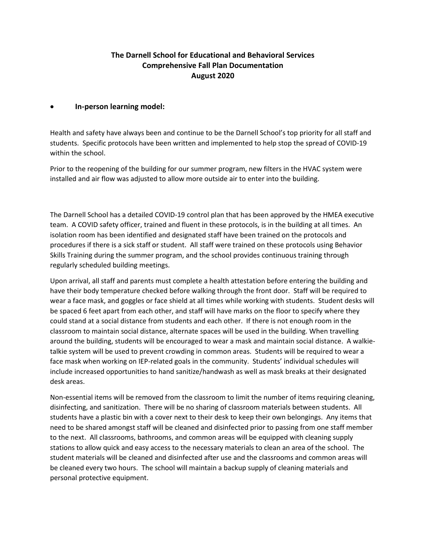## **The Darnell School for Educational and Behavioral Services Comprehensive Fall Plan Documentation August 2020**

## • **In-person learning model:**

Health and safety have always been and continue to be the Darnell School's top priority for all staff and students. Specific protocols have been written and implemented to help stop the spread of COVID-19 within the school.

Prior to the reopening of the building for our summer program, new filters in the HVAC system were installed and air flow was adjusted to allow more outside air to enter into the building.

The Darnell School has a detailed COVID-19 control plan that has been approved by the HMEA executive team. A COVID safety officer, trained and fluent in these protocols, is in the building at all times. An isolation room has been identified and designated staff have been trained on the protocols and procedures if there is a sick staff or student. All staff were trained on these protocols using Behavior Skills Training during the summer program, and the school provides continuous training through regularly scheduled building meetings.

Upon arrival, all staff and parents must complete a health attestation before entering the building and have their body temperature checked before walking through the front door. Staff will be required to wear a face mask, and goggles or face shield at all times while working with students. Student desks will be spaced 6 feet apart from each other, and staff will have marks on the floor to specify where they could stand at a social distance from students and each other. If there is not enough room in the classroom to maintain social distance, alternate spaces will be used in the building. When travelling around the building, students will be encouraged to wear a mask and maintain social distance. A walkietalkie system will be used to prevent crowding in common areas. Students will be required to wear a face mask when working on IEP-related goals in the community. Students' individual schedules will include increased opportunities to hand sanitize/handwash as well as mask breaks at their designated desk areas.

Non-essential items will be removed from the classroom to limit the number of items requiring cleaning, disinfecting, and sanitization. There will be no sharing of classroom materials between students. All students have a plastic bin with a cover next to their desk to keep their own belongings. Any items that need to be shared amongst staff will be cleaned and disinfected prior to passing from one staff member to the next. All classrooms, bathrooms, and common areas will be equipped with cleaning supply stations to allow quick and easy access to the necessary materials to clean an area of the school. The student materials will be cleaned and disinfected after use and the classrooms and common areas will be cleaned every two hours. The school will maintain a backup supply of cleaning materials and personal protective equipment.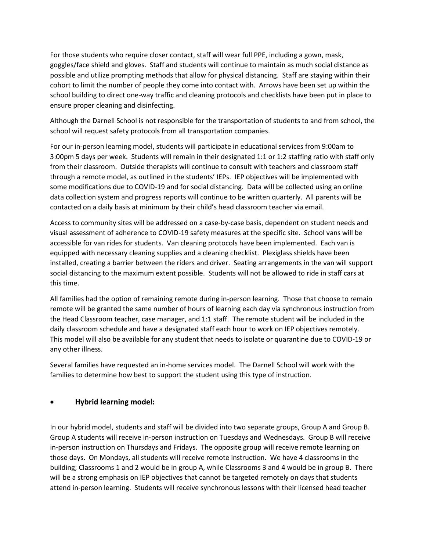For those students who require closer contact, staff will wear full PPE, including a gown, mask, goggles/face shield and gloves. Staff and students will continue to maintain as much social distance as possible and utilize prompting methods that allow for physical distancing. Staff are staying within their cohort to limit the number of people they come into contact with. Arrows have been set up within the school building to direct one-way traffic and cleaning protocols and checklists have been put in place to ensure proper cleaning and disinfecting.

Although the Darnell School is not responsible for the transportation of students to and from school, the school will request safety protocols from all transportation companies.

For our in-person learning model, students will participate in educational services from 9:00am to 3:00pm 5 days per week. Students will remain in their designated 1:1 or 1:2 staffing ratio with staff only from their classroom. Outside therapists will continue to consult with teachers and classroom staff through a remote model, as outlined in the students' IEPs. IEP objectives will be implemented with some modifications due to COVID-19 and for social distancing. Data will be collected using an online data collection system and progress reports will continue to be written quarterly. All parents will be contacted on a daily basis at minimum by their child's head classroom teacher via email.

Access to community sites will be addressed on a case-by-case basis, dependent on student needs and visual assessment of adherence to COVID-19 safety measures at the specific site. School vans will be accessible for van rides for students. Van cleaning protocols have been implemented. Each van is equipped with necessary cleaning supplies and a cleaning checklist. Plexiglass shields have been installed, creating a barrier between the riders and driver. Seating arrangements in the van will support social distancing to the maximum extent possible. Students will not be allowed to ride in staff cars at this time.

All families had the option of remaining remote during in-person learning. Those that choose to remain remote will be granted the same number of hours of learning each day via synchronous instruction from the Head Classroom teacher, case manager, and 1:1 staff. The remote student will be included in the daily classroom schedule and have a designated staff each hour to work on IEP objectives remotely. This model will also be available for any student that needs to isolate or quarantine due to COVID-19 or any other illness.

Several families have requested an in-home services model. The Darnell School will work with the families to determine how best to support the student using this type of instruction.

## • **Hybrid learning model:**

In our hybrid model, students and staff will be divided into two separate groups, Group A and Group B. Group A students will receive in-person instruction on Tuesdays and Wednesdays. Group B will receive in-person instruction on Thursdays and Fridays. The opposite group will receive remote learning on those days. On Mondays, all students will receive remote instruction. We have 4 classrooms in the building; Classrooms 1 and 2 would be in group A, while Classrooms 3 and 4 would be in group B. There will be a strong emphasis on IEP objectives that cannot be targeted remotely on days that students attend in-person learning. Students will receive synchronous lessons with their licensed head teacher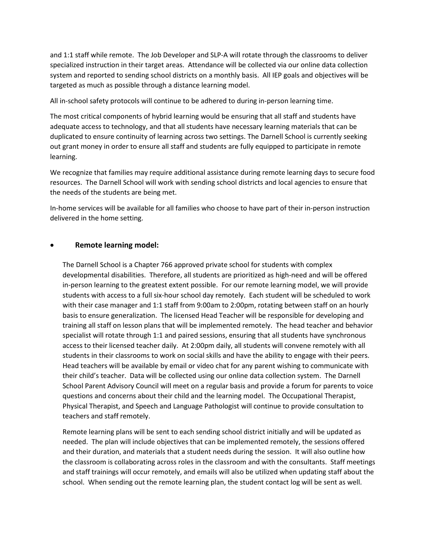and 1:1 staff while remote. The Job Developer and SLP-A will rotate through the classrooms to deliver specialized instruction in their target areas. Attendance will be collected via our online data collection system and reported to sending school districts on a monthly basis. All IEP goals and objectives will be targeted as much as possible through a distance learning model.

All in-school safety protocols will continue to be adhered to during in-person learning time.

The most critical components of hybrid learning would be ensuring that all staff and students have adequate access to technology, and that all students have necessary learning materials that can be duplicated to ensure continuity of learning across two settings. The Darnell School is currently seeking out grant money in order to ensure all staff and students are fully equipped to participate in remote learning.

We recognize that families may require additional assistance during remote learning days to secure food resources. The Darnell School will work with sending school districts and local agencies to ensure that the needs of the students are being met.

In-home services will be available for all families who choose to have part of their in-person instruction delivered in the home setting.

## • **Remote learning model:**

The Darnell School is a Chapter 766 approved private school for students with complex developmental disabilities. Therefore, all students are prioritized as high-need and will be offered in-person learning to the greatest extent possible. For our remote learning model, we will provide students with access to a full six-hour school day remotely. Each student will be scheduled to work with their case manager and 1:1 staff from 9:00am to 2:00pm, rotating between staff on an hourly basis to ensure generalization. The licensed Head Teacher will be responsible for developing and training all staff on lesson plans that will be implemented remotely. The head teacher and behavior specialist will rotate through 1:1 and paired sessions, ensuring that all students have synchronous access to their licensed teacher daily. At 2:00pm daily, all students will convene remotely with all students in their classrooms to work on social skills and have the ability to engage with their peers. Head teachers will be available by email or video chat for any parent wishing to communicate with their child's teacher. Data will be collected using our online data collection system. The Darnell School Parent Advisory Council will meet on a regular basis and provide a forum for parents to voice questions and concerns about their child and the learning model. The Occupational Therapist, Physical Therapist, and Speech and Language Pathologist will continue to provide consultation to teachers and staff remotely.

Remote learning plans will be sent to each sending school district initially and will be updated as needed. The plan will include objectives that can be implemented remotely, the sessions offered and their duration, and materials that a student needs during the session. It will also outline how the classroom is collaborating across roles in the classroom and with the consultants. Staff meetings and staff trainings will occur remotely, and emails will also be utilized when updating staff about the school. When sending out the remote learning plan, the student contact log will be sent as well.